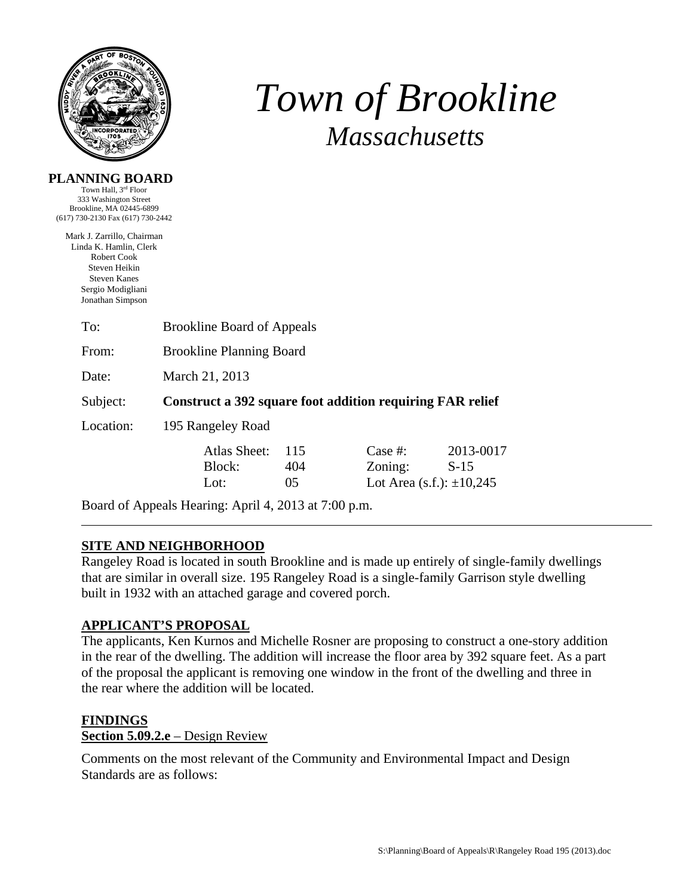

# *Town of Brookline Massachusetts*

# **PLANNING BOARD**

Town Hall, 3rd Floor 333 Washington Street Brookline, MA 02445-6899 (617) 730-2130 Fax (617) 730-2442

Mark J. Zarrillo, Chairman Linda K. Hamlin, Clerk Robert Cook Steven Heikin Steven Kanes Sergio Modigliani Jonathan Simpson

| To:       | <b>Brookline Board of Appeals</b>                         |                  |                                                     |                     |  |  |
|-----------|-----------------------------------------------------------|------------------|-----------------------------------------------------|---------------------|--|--|
| From:     | <b>Brookline Planning Board</b>                           |                  |                                                     |                     |  |  |
| Date:     | March 21, 2013                                            |                  |                                                     |                     |  |  |
| Subject:  | Construct a 392 square foot addition requiring FAR relief |                  |                                                     |                     |  |  |
| Location: | 195 Rangeley Road                                         |                  |                                                     |                     |  |  |
|           | Atlas Sheet:<br>Block:<br>Lot:                            | 115<br>404<br>05 | Case #:<br>Zoning:<br>Lot Area (s.f.): $\pm 10,245$ | 2013-0017<br>$S-15$ |  |  |

Board of Appeals Hearing: April 4, 2013 at 7:00 p.m.

## **SITE AND NEIGHBORHOOD**

Rangeley Road is located in south Brookline and is made up entirely of single-family dwellings that are similar in overall size. 195 Rangeley Road is a single-family Garrison style dwelling built in 1932 with an attached garage and covered porch.

## **APPLICANT'S PROPOSAL**

The applicants, Ken Kurnos and Michelle Rosner are proposing to construct a one-story addition in the rear of the dwelling. The addition will increase the floor area by 392 square feet. As a part of the proposal the applicant is removing one window in the front of the dwelling and three in the rear where the addition will be located.

#### **FINDINGS**

#### **Section 5.09.2.e** – Design Review

Comments on the most relevant of the Community and Environmental Impact and Design Standards are as follows: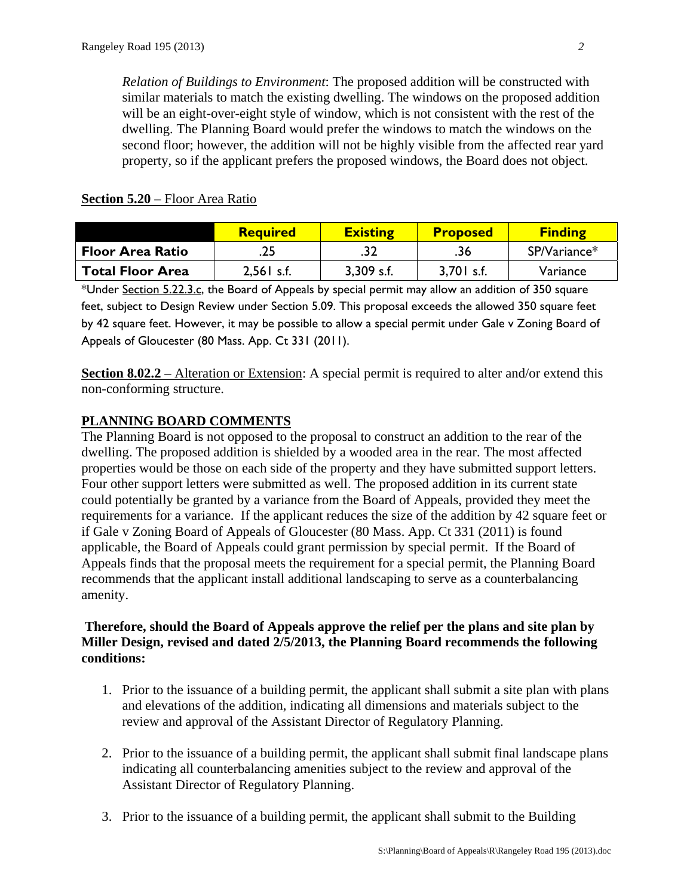*Relation of Buildings to Environment*: The proposed addition will be constructed with similar materials to match the existing dwelling. The windows on the proposed addition will be an eight-over-eight style of window, which is not consistent with the rest of the dwelling. The Planning Board would prefer the windows to match the windows on the second floor; however, the addition will not be highly visible from the affected rear yard property, so if the applicant prefers the proposed windows, the Board does not object.

|                         | <b>Required</b> | <b>Existing</b> | <b>Proposed</b> | <b>Finding</b> |
|-------------------------|-----------------|-----------------|-----------------|----------------|
| <b>Floor Area Ratio</b> | .25             | .32             | .36             | $SP/Variance*$ |
| <b>Total Floor Area</b> | $2,561$ s.f.    | $3,309$ s.f.    | 3,701 s.f.      | Variance       |

#### **Section 5.20** – Floor Area Ratio

\*Under Section 5.22.3.c, the Board of Appeals by special permit may allow an addition of 350 square feet, subject to Design Review under Section 5.09. This proposal exceeds the allowed 350 square feet by 42 square feet. However, it may be possible to allow a special permit under Gale v Zoning Board of Appeals of Gloucester (80 Mass. App. Ct 331 (2011).

**Section 8.02.2** – Alteration or Extension: A special permit is required to alter and/or extend this non-conforming structure.

# **PLANNING BOARD COMMENTS**

The Planning Board is not opposed to the proposal to construct an addition to the rear of the dwelling. The proposed addition is shielded by a wooded area in the rear. The most affected properties would be those on each side of the property and they have submitted support letters. Four other support letters were submitted as well. The proposed addition in its current state could potentially be granted by a variance from the Board of Appeals, provided they meet the requirements for a variance. If the applicant reduces the size of the addition by 42 square feet or if Gale v Zoning Board of Appeals of Gloucester (80 Mass. App. Ct 331 (2011) is found applicable, the Board of Appeals could grant permission by special permit. If the Board of Appeals finds that the proposal meets the requirement for a special permit, the Planning Board recommends that the applicant install additional landscaping to serve as a counterbalancing amenity.

#### **Therefore, should the Board of Appeals approve the relief per the plans and site plan by Miller Design, revised and dated 2/5/2013, the Planning Board recommends the following conditions:**

- 1. Prior to the issuance of a building permit, the applicant shall submit a site plan with plans and elevations of the addition, indicating all dimensions and materials subject to the review and approval of the Assistant Director of Regulatory Planning.
- 2. Prior to the issuance of a building permit, the applicant shall submit final landscape plans indicating all counterbalancing amenities subject to the review and approval of the Assistant Director of Regulatory Planning.
- 3. Prior to the issuance of a building permit, the applicant shall submit to the Building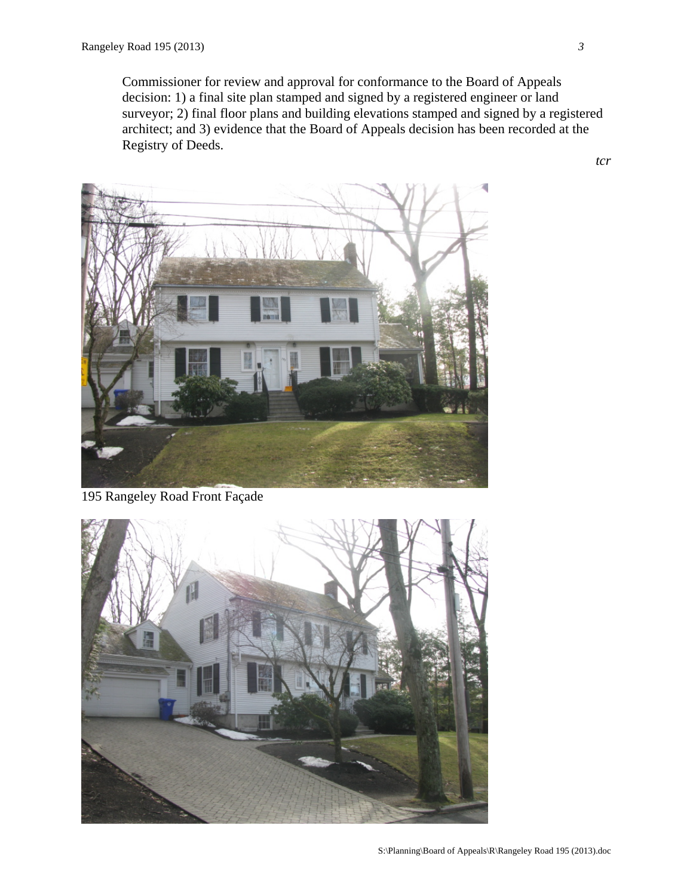Commissioner for review and approval for conformance to the Board of Appeals decision: 1) a final site plan stamped and signed by a registered engineer or land surveyor; 2) final floor plans and building elevations stamped and signed by a registered architect; and 3) evidence that the Board of Appeals decision has been recorded at the Registry of Deeds.





*3*